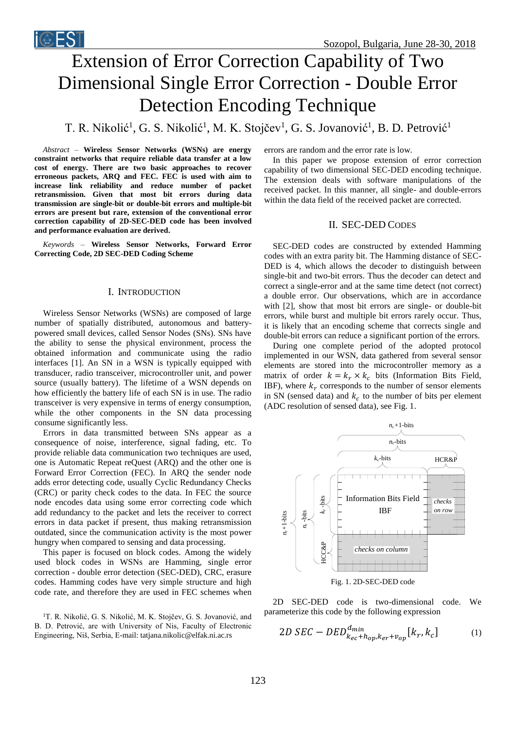# Extension of Error Correction Capability of Two Dimensional Single Error Correction - Double Error Detection Encoding Technique

T. R. Nikolić<sup>1</sup>, G. S. Nikolić<sup>1</sup>, M. K. Stojčev<sup>1</sup>, G. S. Jovanović<sup>1</sup>, B. D. Petrović<sup>1</sup>

*Abstract –* **Wireless Sensor Networks (WSNs) are energy constraint networks that require reliable data transfer at a low cost of energy. There are two basic approaches to recover erroneous packets, ARQ and FEC. FEC is used with aim to increase link reliability and reduce number of packet retransmission. Given that most bit errors during data transmission are single-bit or double-bit errors and multiple-bit errors are present but rare, extension of the conventional error correction capability of 2D-SEC-DED code has been involved and performance evaluation are derived.**

*Keywords –* **Wireless Sensor Networks, Forward Error Correcting Code, 2D SEC-DED Coding Scheme** 

#### I. INTRODUCTION

Wireless Sensor Networks (WSNs) are composed of large number of spatially distributed, autonomous and batterypowered small devices, called Sensor Nodes (SNs). SNs have the ability to sense the physical environment, process the obtained information and communicate using the radio interfaces [1]. An SN in a WSN is typically equipped with transducer, radio transceiver, microcontroller unit, and power source (usually battery). The lifetime of a WSN depends on how efficiently the battery life of each SN is in use. The radio transceiver is very expensive in terms of energy consumption, while the other components in the SN data processing consume significantly less.

Errors in data transmitted between SNs appear as a consequence of noise, interference, signal fading, etc. To provide reliable data communication two techniques are used, one is Automatic Repeat reQuest (ARQ) and the other one is Forward Error Correction (FEC). In ARQ the sender node adds error detecting code, usually Cyclic Redundancy Checks (CRC) or parity check codes to the data. In FEC the source node encodes data using some error correcting code which add redundancy to the packet and lets the receiver to correct errors in data packet if present, thus making retransmission outdated, since the communication activity is the most power hungry when compared to sensing and data processing.

This paper is focused on block codes. Among the widely used block codes in WSNs are Hamming, single error correction - double error detection (SEC-DED), CRC, erasure codes. Hamming codes have very simple structure and high code rate, and therefore they are used in FEC schemes when

<sup>1</sup>T. R. Nikolić, G. S. Nikolić, M. K. Stojčev, G. S. Jovanović, and B. D. Petrović, are with University of Nis, Faculty of Electronic Engineering, Niš, Serbia, E-mail: tatjana.nikolic@elfak.ni.ac.rs

errors are random and the error rate is low.

In this paper we propose extension of error correction capability of two dimensional SEC-DED encoding technique. The extension deals with software manipulations of the received packet. In this manner, all single- and double-errors within the data field of the received packet are corrected.

### II. SEC-DED CODES

SEC-DED codes are constructed by extended Hamming codes with an extra parity bit. The Hamming distance of SEC-DED is 4, which allows the decoder to distinguish between single-bit and two-bit errors. Thus the decoder can detect and correct a single-error and at the same time detect (not correct) a double error. Our observations, which are in accordance with [2], show that most bit errors are single- or double-bit errors, while burst and multiple bit errors rarely occur. Thus, it is likely that an encoding scheme that corrects single and double-bit errors can reduce a significant portion of the errors.

During one complete period of the adopted protocol implemented in our WSN, data gathered from several sensor elements are stored into the microcontroller memory as a matrix of order  $k = k_r \times k_c$  bits (Information Bits Field, IBF), where  $k_r$  corresponds to the number of sensor elements in SN (sensed data) and  $k_c$  to the number of bits per element (ADC resolution of sensed data), see Fig. 1.



2D SEC-DED code is two-dimensional code. We parameterize this code by the following expression

$$
2D \, \text{SEC} - DED_{k_{ec} + h_{op}, k_{er} + v_{op}}^{d_{min}}[k_r, k_c] \tag{1}
$$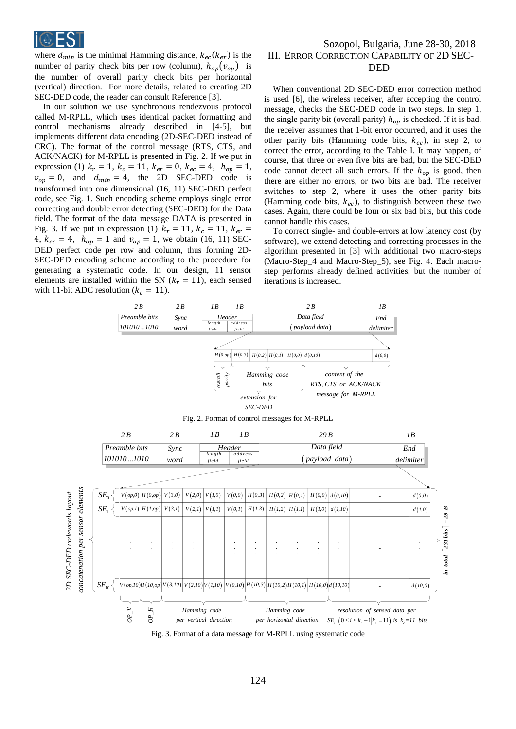

where  $d_{min}$  is the minimal Hamming distance,  $k_{ec}(k_{er})$  is the number of parity check bits per row (column),  $h_{op}(v_{op})$  is the number of overall parity check bits per horizontal (vertical) direction. For more details, related to creating 2D SEC-DED code, the reader can consult Reference [3].

In our solution we use synchronous rendezvous protocol called M-RPLL, which uses identical packet formatting and control mechanisms already described in [4-5], but implements different data encoding (2D-SEC-DED instead of CRC). The format of the control message (RTS, CTS, and ACK/NACK) for M-RPLL is presented in Fig. 2. If we put in expression (1)  $k_r = 1$ ,  $k_c = 11$ ,  $k_{er} = 0$ ,  $k_{ec} = 4$ ,  $h_{op} = 1$ ,  $v_{op} = 0$ , and  $d_{min} = 4$ , the 2D SEC-DED code is transformed into one dimensional (16, 11) SEC-DED perfect code, see Fig. 1. Such encoding scheme employs single error correcting and double error detecting (SEC-DED) for the Data field. The format of the data message DATA is presented in Fig. 3. If we put in expression (1)  $k_r = 11$ ,  $k_c = 11$ ,  $k_{er} =$ 4,  $k_{ec} = 4$ ,  $h_{op} = 1$  and  $v_{op} = 1$ , we obtain (16, 11) SEC-DED perfect code per row and column, thus forming 2D-SEC-DED encoding scheme according to the procedure for generating a systematic code. In our design, 11 sensor elements are installed within the SN ( $k_r = 11$ ), each sensed with 11-bit ADC resolution ( $k_c = 11$ ).

# Sozopol, Bulgaria, June 28-30, 2018 III. ERROR CORRECTION CAPABILITY OF 2D SEC-DED

When conventional 2D SEC-DED error correction method is used [6], the wireless receiver, after accepting the control message, checks the SEC-DED code in two steps. In step 1, the single parity bit (overall parity)  $h_{op}$  is checked. If it is bad, the receiver assumes that 1-bit error occurred, and it uses the other parity bits (Hamming code bits,  $k_{ec}$ ), in step 2, to correct the error, according to the Table I. It may happen, of course, that three or even five bits are bad, but the SEC-DED code cannot detect all such errors. If the  $h_{op}$  is good, then there are either no errors, or two bits are bad. The receiver switches to step 2, where it uses the other parity bits (Hamming code bits,  $k_{ec}$ ), to distinguish between these two cases. Again, there could be four or six bad bits, but this code cannot handle this cases.

To correct single- and double-errors at low latency cost (by software), we extend detecting and correcting processes in the algorithm presented in [3] with additional two macro-steps (Macro-Step\_4 and Macro-Step\_5), see Fig. 4. Each macrostep performs already defined activities, but the number of iterations is increased.



Fig. 3. Format of a data message for M-RPLL using systematic code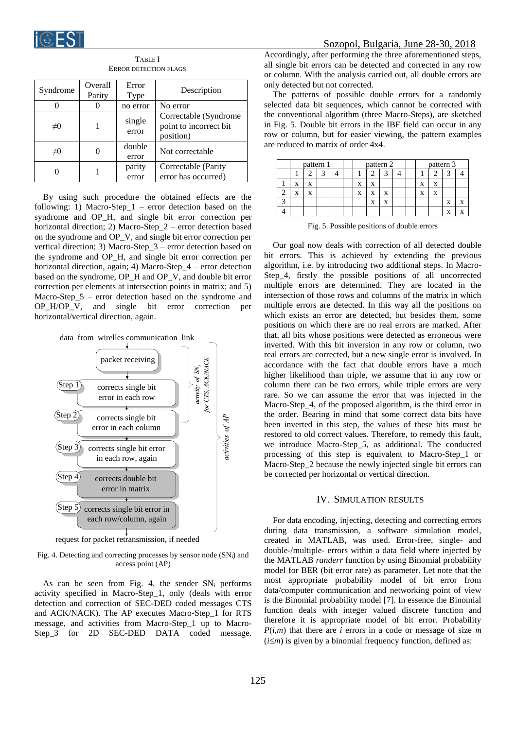

| Syndrome    | Overall<br>Parity | Error<br>Type   | Description                                                   |
|-------------|-------------------|-----------------|---------------------------------------------------------------|
|             |                   | no error        | No error                                                      |
| $\neq 0$    |                   | single<br>error | Correctable (Syndrome)<br>point to incorrect bit<br>position) |
| $_{\neq 0}$ |                   | double<br>error | Not correctable                                               |
|             |                   | parity<br>error | Correctable (Parity<br>error has occurred)                    |

TABLE I ERROR DETECTION FLAGS

By using such procedure the obtained effects are the following: 1) Macro-Step\_1 – error detection based on the syndrome and OP\_H, and single bit error correction per horizontal direction; 2) Macro-Step\_2 – error detection based on the syndrome and OP\_V, and single bit error correction per vertical direction; 3) Macro-Step\_3 – error detection based on the syndrome and OP\_H, and single bit error correction per horizontal direction, again; 4) Macro-Step\_4 – error detection based on the syndrome, OP\_H and OP\_V, and double bit error correction per elements at intersection points in matrix; and 5) Macro-Step\_5 – error detection based on the syndrome and OP\_H/OP\_V, and single bit error correction per horizontal/vertical direction, again.



Fig. 4. Detecting and correcting processes by sensor node (SNi) and

access point (AP)

As can be seen from Fig. 4, the sender  $SN_i$  performs activity specified in Macro-Step\_1, only (deals with error detection and correction of SEC-DED coded messages CTS and ACK/NACK). The AP executes Macro-Step\_1 for RTS message, and activities from Macro-Step\_1 up to Macro-Step\_3 for 2D SEC-DED DATA coded message.

Accordingly, after performing the three aforementioned steps, all single bit errors can be detected and corrected in any row or column. With the analysis carried out, all double errors are only detected but not corrected.

The patterns of possible double errors for a randomly selected data bit sequences, which cannot be corrected with the conventional algorithm (three Macro-Steps), are sketched in Fig. 5. Double bit errors in the IBF field can occur in any row or column, but for easier viewing, the pattern examples are reduced to matrix of order 4x4.

| pattern 1 |   | pattern 2 |  |   | pattern 3 |   |  |   |   |   |  |
|-----------|---|-----------|--|---|-----------|---|--|---|---|---|--|
|           |   | ◠         |  |   |           |   |  |   |   |   |  |
| X         | X |           |  | x | X         |   |  | X | X |   |  |
| X         | X |           |  | X | X         | X |  | X | X |   |  |
|           |   |           |  |   | X         | X |  |   |   | X |  |
|           |   |           |  |   |           |   |  |   |   | Δ |  |

Fig. 5. Possible positions of double errors

Our goal now deals with correction of all detected double bit errors. This is achieved by extending the previous algorithm, i.e. by introducing two additional steps. In Macro-Step 4, firstly the possible positions of all uncorrected multiple errors are determined. They are located in the intersection of those rows and columns of the matrix in which multiple errors are detected. In this way all the positions on which exists an error are detected, but besides them, some positions on which there are no real errors are marked. After that, all bits whose positions were detected as erroneous were inverted. With this bit inversion in any row or column, two real errors are corrected, but a new single error is involved. In accordance with the fact that double errors have a much higher likelihood than triple, we assume that in any row or column there can be two errors, while triple errors are very rare. So we can assume the error that was injected in the Macro-Step 4, of the proposed algorithm, is the third error in the order. Bearing in mind that some correct data bits have been inverted in this step, the values of these bits must be restored to old correct values. Therefore, to remedy this fault, we introduce Macro-Step\_5, as additional. The conducted processing of this step is equivalent to Macro-Step\_1 or Macro-Step\_2 because the newly injected single bit errors can be corrected per horizontal or vertical direction.

#### IV. SIMULATION RESULTS

For data encoding, injecting, detecting and correcting errors during data transmission, a software simulation model, created in MATLAB, was used. Error-free, single- and double-/multiple- errors within a data field where injected by the MATLAB *randerr* function by using Binomial probability model for BER (bit error rate) as parameter. Let note that the most appropriate probability model of bit error from data/computer communication and networking point of view is the Binomial probability model [7]. In essence the Binomial function deals with integer valued discrete function and therefore it is appropriate model of bit error. Probability *P*(*i*,*m*) that there are *i* errors in a code or message of size *m*  $(i \leq m)$  is given by a binomial frequency function, defined as: